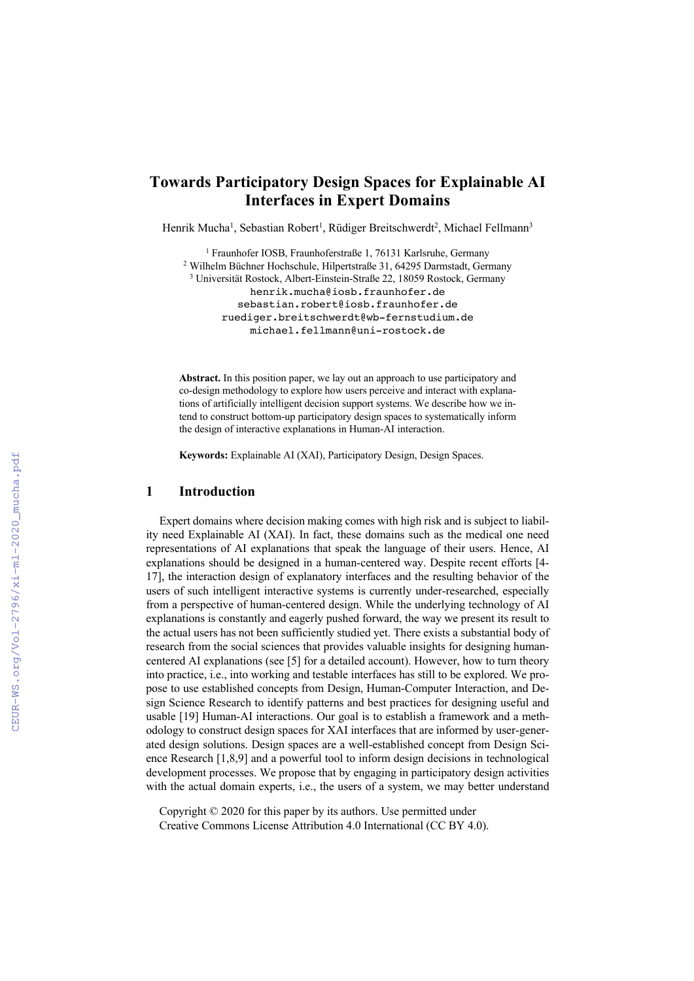# **Towards Participatory Design Spaces for Explainable AI Interfaces in Expert Domains**

Henrik Mucha<sup>1</sup>, Sebastian Robert<sup>1</sup>, Rüdiger Breitschwerdt<sup>2</sup>, Michael Fellmann<sup>3</sup>

<sup>1</sup> Fraunhofer IOSB, Fraunhoferstraße 1, 76131 Karlsruhe, Germany <sup>2</sup> Wilhelm Büchner Hochschule, Hilpertstraße 31, 64295 Darmstadt, Germany <sup>3</sup> Universität Rostock, Albert-Einstein-Straße 22, 18059 Rostock, Germany henrik.mucha@iosb.fraunhofer.de sebastian.robert@iosb.fraunhofer.de ruediger.breitschwerdt@wb-fernstudium.de michael.fellmann@uni-rostock.de

**Abstract.** In this position paper, we lay out an approach to use participatory and co-design methodology to explore how users perceive and interact with explanations of artificially intelligent decision support systems. We describe how we intend to construct bottom-up participatory design spaces to systematically inform the design of interactive explanations in Human-AI interaction.

**Keywords:** Explainable AI (XAI), Participatory Design, Design Spaces.

## **1 Introduction**

Expert domains where decision making comes with high risk and is subject to liability need Explainable AI (XAI). In fact, these domains such as the medical one need representations of AI explanations that speak the language of their users. Hence, AI explanations should be designed in a human-centered way. Despite recent efforts [4- 17], the interaction design of explanatory interfaces and the resulting behavior of the users of such intelligent interactive systems is currently under-researched, especially from a perspective of human-centered design. While the underlying technology of AI explanations is constantly and eagerly pushed forward, the way we present its result to the actual users has not been sufficiently studied yet. There exists a substantial body of research from the social sciences that provides valuable insights for designing humancentered AI explanations (see [5] for a detailed account). However, how to turn theory into practice, i.e., into working and testable interfaces has still to be explored. We propose to use established concepts from Design, Human-Computer Interaction, and Design Science Research to identify patterns and best practices for designing useful and usable [19] Human-AI interactions. Our goal is to establish a framework and a methodology to construct design spaces for XAI interfaces that are informed by user-generated design solutions. Design spaces are a well-established concept from Design Science Research [1,8,9] and a powerful tool to inform design decisions in technological development processes. We propose that by engaging in participatory design activities with the actual domain experts, i.e., the users of a system, we may better understand

Copyright © 2020 for this paper by its authors. Use permitted under Creative Commons License Attribution 4.0 International (CC BY 4.0).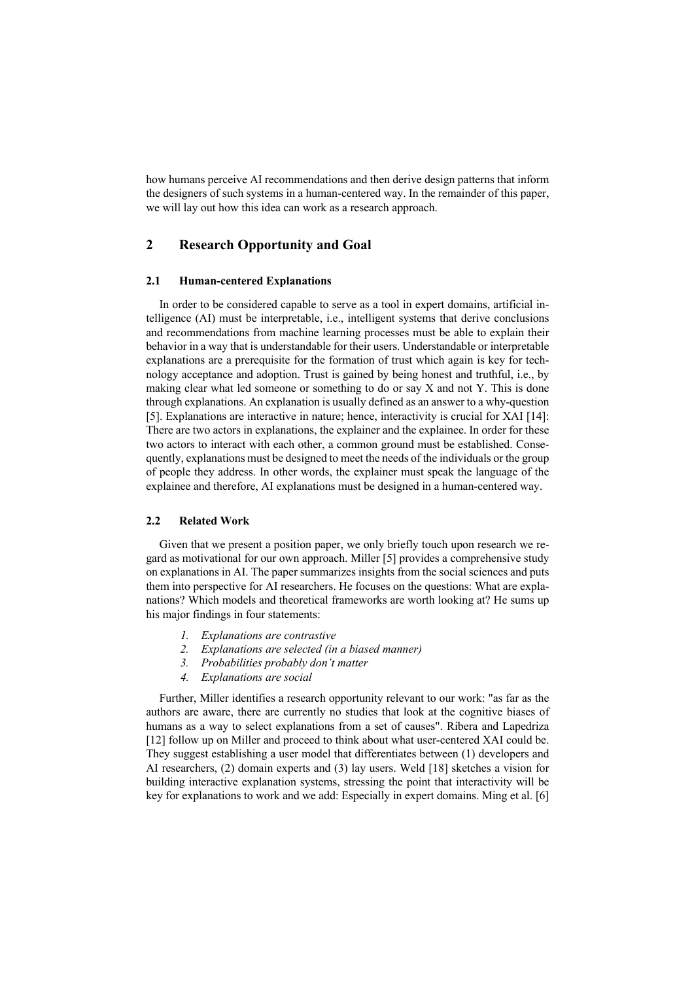how humans perceive AI recommendations and then derive design patterns that inform the designers of such systems in a human-centered way. In the remainder of this paper, we will lay out how this idea can work as a research approach.

# **2 Research Opportunity and Goal**

#### **2.1 Human-centered Explanations**

In order to be considered capable to serve as a tool in expert domains, artificial intelligence (AI) must be interpretable, i.e., intelligent systems that derive conclusions and recommendations from machine learning processes must be able to explain their behavior in a way that is understandable for their users. Understandable or interpretable explanations are a prerequisite for the formation of trust which again is key for technology acceptance and adoption. Trust is gained by being honest and truthful, i.e., by making clear what led someone or something to do or say X and not Y. This is done through explanations. An explanation is usually defined as an answer to a why-question [5]. Explanations are interactive in nature; hence, interactivity is crucial for XAI [14]: There are two actors in explanations, the explainer and the explainee. In order for these two actors to interact with each other, a common ground must be established. Consequently, explanations must be designed to meet the needs of the individuals or the group of people they address. In other words, the explainer must speak the language of the explainee and therefore, AI explanations must be designed in a human-centered way.

### **2.2 Related Work**

Given that we present a position paper, we only briefly touch upon research we regard as motivational for our own approach. Miller [5] provides a comprehensive study on explanations in AI. The paper summarizes insights from the social sciences and puts them into perspective for AI researchers. He focuses on the questions: What are explanations? Which models and theoretical frameworks are worth looking at? He sums up his major findings in four statements:

- *1. Explanations are contrastive*
- *2. Explanations are selected (in a biased manner)*
- *3. Probabilities probably don't matter*
- *4. Explanations are social*

Further, Miller identifies a research opportunity relevant to our work: "as far as the authors are aware, there are currently no studies that look at the cognitive biases of humans as a way to select explanations from a set of causes". Ribera and Lapedriza [12] follow up on Miller and proceed to think about what user-centered XAI could be. They suggest establishing a user model that differentiates between (1) developers and AI researchers, (2) domain experts and (3) lay users. Weld [18] sketches a vision for building interactive explanation systems, stressing the point that interactivity will be key for explanations to work and we add: Especially in expert domains. Ming et al. [6]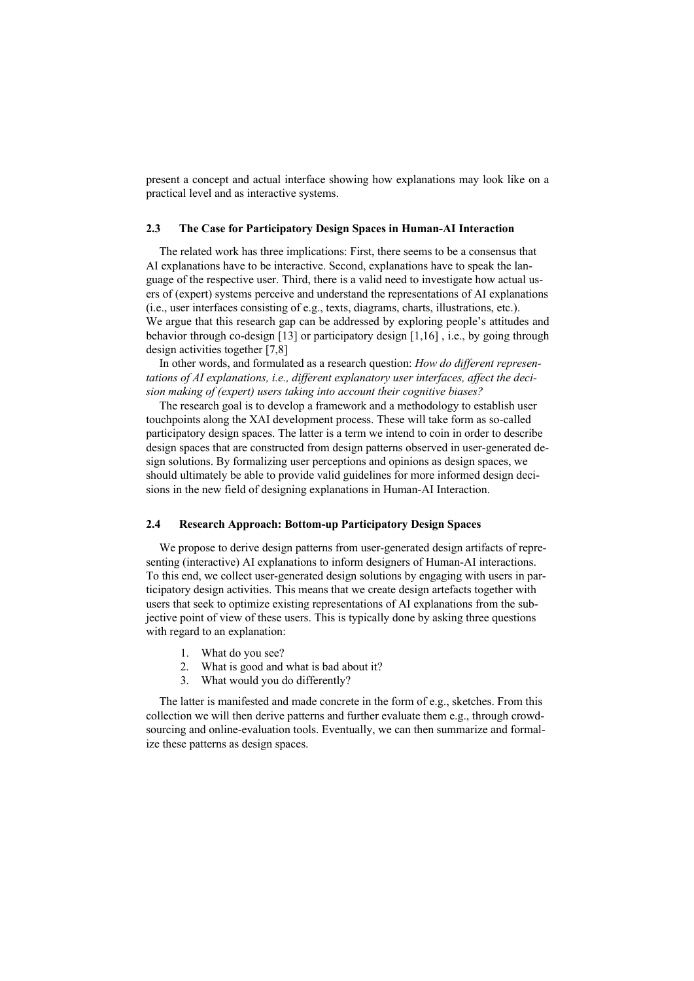present a concept and actual interface showing how explanations may look like on a practical level and as interactive systems.

### **2.3 The Case for Participatory Design Spaces in Human-AI Interaction**

The related work has three implications: First, there seems to be a consensus that AI explanations have to be interactive. Second, explanations have to speak the language of the respective user. Third, there is a valid need to investigate how actual users of (expert) systems perceive and understand the representations of AI explanations (i.e., user interfaces consisting of e.g., texts, diagrams, charts, illustrations, etc.). We argue that this research gap can be addressed by exploring people's attitudes and behavior through co-design [13] or participatory design [1,16] , i.e., by going through design activities together [7,8]

In other words, and formulated as a research question: *How do different representations of AI explanations, i.e., different explanatory user interfaces, affect the decision making of (expert) users taking into account their cognitive biases?*

The research goal is to develop a framework and a methodology to establish user touchpoints along the XAI development process. These will take form as so-called participatory design spaces. The latter is a term we intend to coin in order to describe design spaces that are constructed from design patterns observed in user-generated design solutions. By formalizing user perceptions and opinions as design spaces, we should ultimately be able to provide valid guidelines for more informed design decisions in the new field of designing explanations in Human-AI Interaction.

### **2.4 Research Approach: Bottom-up Participatory Design Spaces**

We propose to derive design patterns from user-generated design artifacts of representing (interactive) AI explanations to inform designers of Human-AI interactions. To this end, we collect user-generated design solutions by engaging with users in participatory design activities. This means that we create design artefacts together with users that seek to optimize existing representations of AI explanations from the subjective point of view of these users. This is typically done by asking three questions with regard to an explanation:

- 1. What do you see?
- 2. What is good and what is bad about it?
- 3. What would you do differently?

The latter is manifested and made concrete in the form of e.g., sketches. From this collection we will then derive patterns and further evaluate them e.g., through crowdsourcing and online-evaluation tools. Eventually, we can then summarize and formalize these patterns as design spaces.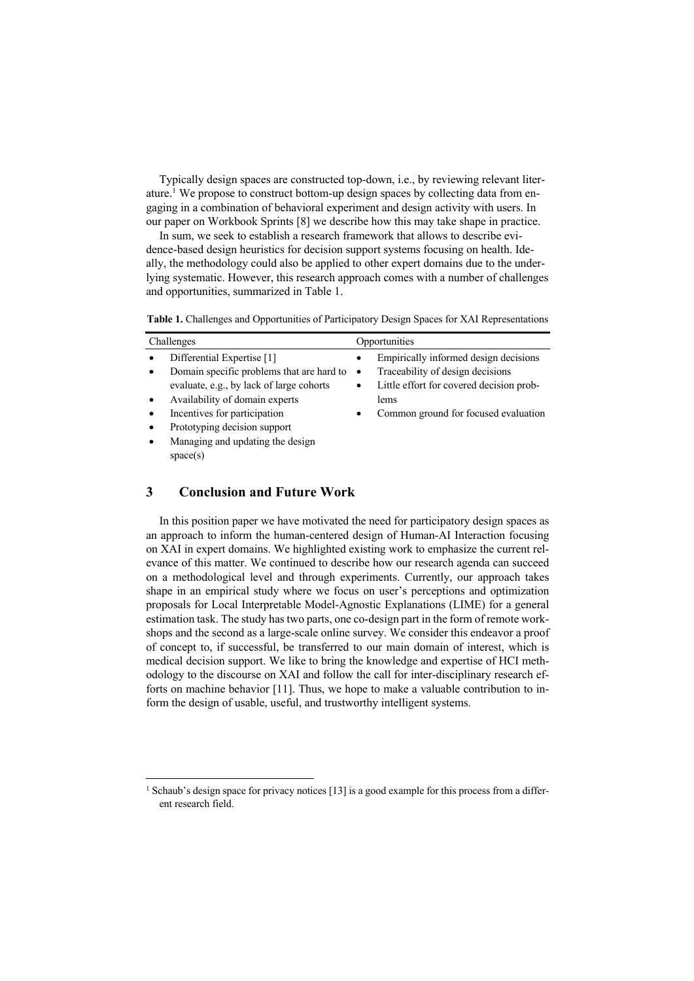Typically design spaces are constructed top-down, i.e., by reviewing relevant literature.<sup>1</sup> We propose to construct bottom-up design spaces by collecting data from engaging in a combination of behavioral experiment and design activity with users. In our paper on Workbook Sprints [8] we describe how this may take shape in practice.

In sum, we seek to establish a research framework that allows to describe evidence-based design heuristics for decision support systems focusing on health. Ideally, the methodology could also be applied to other expert domains due to the underlying systematic. However, this research approach comes with a number of challenges and opportunities, summarized in Table 1.

**Table 1.** Challenges and Opportunities of Participatory Design Spaces for XAI Representations

| Challenges |                                           | Opportunities |                                          |
|------------|-------------------------------------------|---------------|------------------------------------------|
|            | Differential Expertise [1]                |               | Empirically informed design decisions    |
|            | Domain specific problems that are hard to | $\bullet$     | Traceability of design decisions         |
|            | evaluate, e.g., by lack of large cohorts  | $\bullet$     | Little effort for covered decision prob- |
|            | Availability of domain experts            |               | lems                                     |
|            | Incentives for participation              | ٠             | Common ground for focused evaluation     |
|            | Prototyping decision support              |               |                                          |
|            | Managing and updating the design          |               |                                          |
|            | space(s)                                  |               |                                          |

# **3 Conclusion and Future Work**

In this position paper we have motivated the need for participatory design spaces as an approach to inform the human-centered design of Human-AI Interaction focusing on XAI in expert domains. We highlighted existing work to emphasize the current relevance of this matter. We continued to describe how our research agenda can succeed on a methodological level and through experiments. Currently, our approach takes shape in an empirical study where we focus on user's perceptions and optimization proposals for Local Interpretable Model-Agnostic Explanations (LIME) for a general estimation task. The study has two parts, one co-design part in the form of remote workshops and the second as a large-scale online survey. We consider this endeavor a proof of concept to, if successful, be transferred to our main domain of interest, which is medical decision support. We like to bring the knowledge and expertise of HCI methodology to the discourse on XAI and follow the call for inter-disciplinary research efforts on machine behavior [11]. Thus, we hope to make a valuable contribution to inform the design of usable, useful, and trustworthy intelligent systems.

<sup>&</sup>lt;sup>1</sup> Schaub's design space for privacy notices [13] is a good example for this process from a different research field.